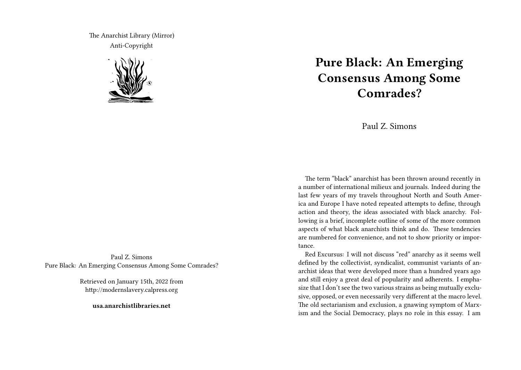The Anarchist Library (Mirror) Anti-Copyright



Paul Z. Simons Pure Black: An Emerging Consensus Among Some Comrades?

> Retrieved on January 15th, 2022 from http://modernslavery.calpress.org

> > **usa.anarchistlibraries.net**

# **Pure Black: An Emerging Consensus Among Some Comrades?**

Paul Z. Simons

The term "black" anarchist has been thrown around recently in a number of international milieux and journals. Indeed during the last few years of my travels throughout North and South America and Europe I have noted repeated attempts to define, through action and theory, the ideas associated with black anarchy. Following is a brief, incomplete outline of some of the more common aspects of what black anarchists think and do. These tendencies are numbered for convenience, and not to show priority or importance.

Red Excursus: I will not discuss "red" anarchy as it seems well defined by the collectivist, syndicalist, communist variants of anarchist ideas that were developed more than a hundred years ago and still enjoy a great deal of popularity and adherents. I emphasize that I don't see the two various strains as being mutually exclusive, opposed, or even necessarily very different at the macro level. The old sectarianism and exclusion, a gnawing symptom of Marxism and the Social Democracy, plays no role in this essay. I am